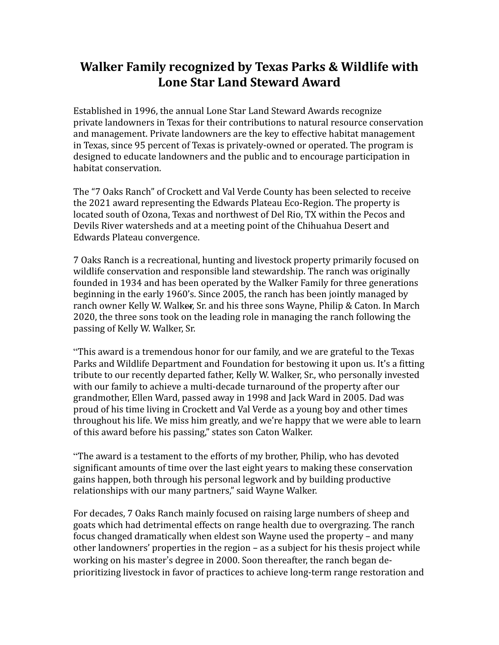## **Walker Family recognized by Texas Parks & Wildlife with Lone Star Land Steward Award**

Established in 1996, the annual Lone Star Land Steward Awards recognize private landowners in Texas for their contributions to natural resource conservation and management. Private landowners are the key to effective habitat management in Texas, since 95 percent of Texas is privately-owned or operated. The program is designed to educate landowners and the public and to encourage participation in habitat conservation.

The "7 Oaks Ranch" of Crockett and Val Verde County has been selected to receive the 2021 award representing the Edwards Plateau Eco-Region. The property is located south of Ozona, Texas and northwest of Del Rio, TX within the Pecos and Devils River watersheds and at a meeting point of the Chihuahua Desert and Edwards Plateau convergence.

7 Oaks Ranch is a recreational, hunting and livestock property primarily focused on wildlife conservation and responsible land stewardship. The ranch was originally founded in 1934 and has been operated by the Walker Family for three generations beginning in the early 1960's. Since 2005, the ranch has been jointly managed by ranch owner Kelly W. Walker, Sr. and his three sons Wayne, Philip & Caton. In March 2020, the three sons took on the leading role in managing the ranch following the passing of Kelly W. Walker, Sr.

"This award is a tremendous honor for our family, and we are grateful to the Texas Parks and Wildlife Department and Foundation for bestowing it upon us. It's a fitting tribute to our recently departed father, Kelly W. Walker, Sr., who personally invested with our family to achieve a multi-decade turnaround of the property after our grandmother, Ellen Ward, passed away in 1998 and Jack Ward in 2005. Dad was proud of his time living in Crockett and Val Verde as a young boy and other times throughout his life. We miss him greatly, and we're happy that we were able to learn of this award before his passing," states son Caton Walker.

"The award is a testament to the efforts of my brother, Philip, who has devoted significant amounts of time over the last eight years to making these conservation gains happen, both through his personal legwork and by building productive relationships with our many partners," said Wayne Walker.

For decades, 7 Oaks Ranch mainly focused on raising large numbers of sheep and goats which had detrimental effects on range health due to overgrazing. The ranch focus changed dramatically when eldest son Wayne used the property – and many other landowners' properties in the region  $-$  as a subject for his thesis project while working on his master's degree in 2000. Soon thereafter, the ranch began deprioritizing livestock in favor of practices to achieve long-term range restoration and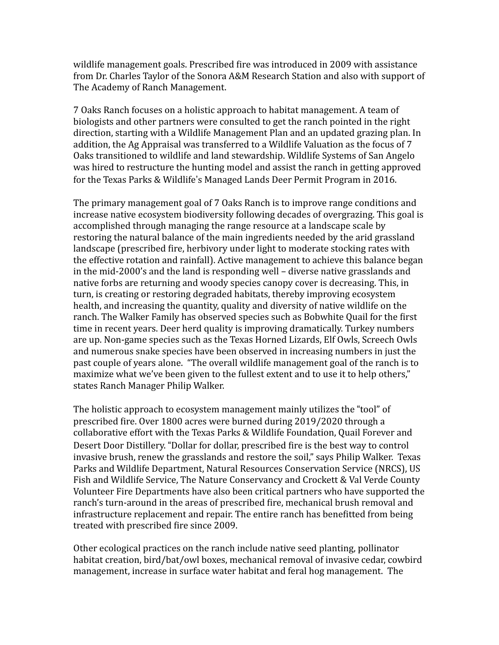wildlife management goals. Prescribed fire was introduced in 2009 with assistance from Dr. Charles Taylor of the Sonora A&M Research Station and also with support of The Academy of Ranch Management.

7 Oaks Ranch focuses on a holistic approach to habitat management. A team of biologists and other partners were consulted to get the ranch pointed in the right direction, starting with a Wildlife Management Plan and an updated grazing plan. In addition, the Ag Appraisal was transferred to a Wildlife Valuation as the focus of 7 Oaks transitioned to wildlife and land stewardship. Wildlife Systems of San Angelo was hired to restructure the hunting model and assist the ranch in getting approved for the Texas Parks & Wildlife's Managed Lands Deer Permit Program in 2016.

The primary management goal of 7 Oaks Ranch is to improve range conditions and increase native ecosystem biodiversity following decades of overgrazing. This goal is accomplished through managing the range resource at a landscape scale by restoring the natural balance of the main ingredients needed by the arid grassland landscape (prescribed fire, herbivory under light to moderate stocking rates with the effective rotation and rainfall). Active management to achieve this balance began in the mid-2000's and the land is responding well  $-$  diverse native grasslands and native forbs are returning and woody species canopy cover is decreasing. This, in turn, is creating or restoring degraded habitats, thereby improving ecosystem health, and increasing the quantity, quality and diversity of native wildlife on the ranch. The Walker Family has observed species such as Bobwhite Quail for the first time in recent years. Deer herd quality is improving dramatically. Turkey numbers are up. Non-game species such as the Texas Horned Lizards, Elf Owls, Screech Owls and numerous snake species have been observed in increasing numbers in just the past couple of years alone. "The overall wildlife management goal of the ranch is to maximize what we've been given to the fullest extent and to use it to help others," states Ranch Manager Philip Walker.

The holistic approach to ecosystem management mainly utilizes the "tool" of prescribed fire. Over 1800 acres were burned during 2019/2020 through a collaborative effort with the Texas Parks & Wildlife Foundation, Quail Forever and Desert Door Distillery. "Dollar for dollar, prescribed fire is the best way to control invasive brush, renew the grasslands and restore the soil," says Philip Walker. Texas Parks and Wildlife Department, Natural Resources Conservation Service (NRCS), US Fish and Wildlife Service, The Nature Conservancy and Crockett & Val Verde County Volunteer Fire Departments have also been critical partners who have supported the ranch's turn-around in the areas of prescribed fire, mechanical brush removal and infrastructure replacement and repair. The entire ranch has benefitted from being treated with prescribed fire since 2009.

Other ecological practices on the ranch include native seed planting, pollinator habitat creation, bird/bat/owl boxes, mechanical removal of invasive cedar, cowbird management, increase in surface water habitat and feral hog management. The